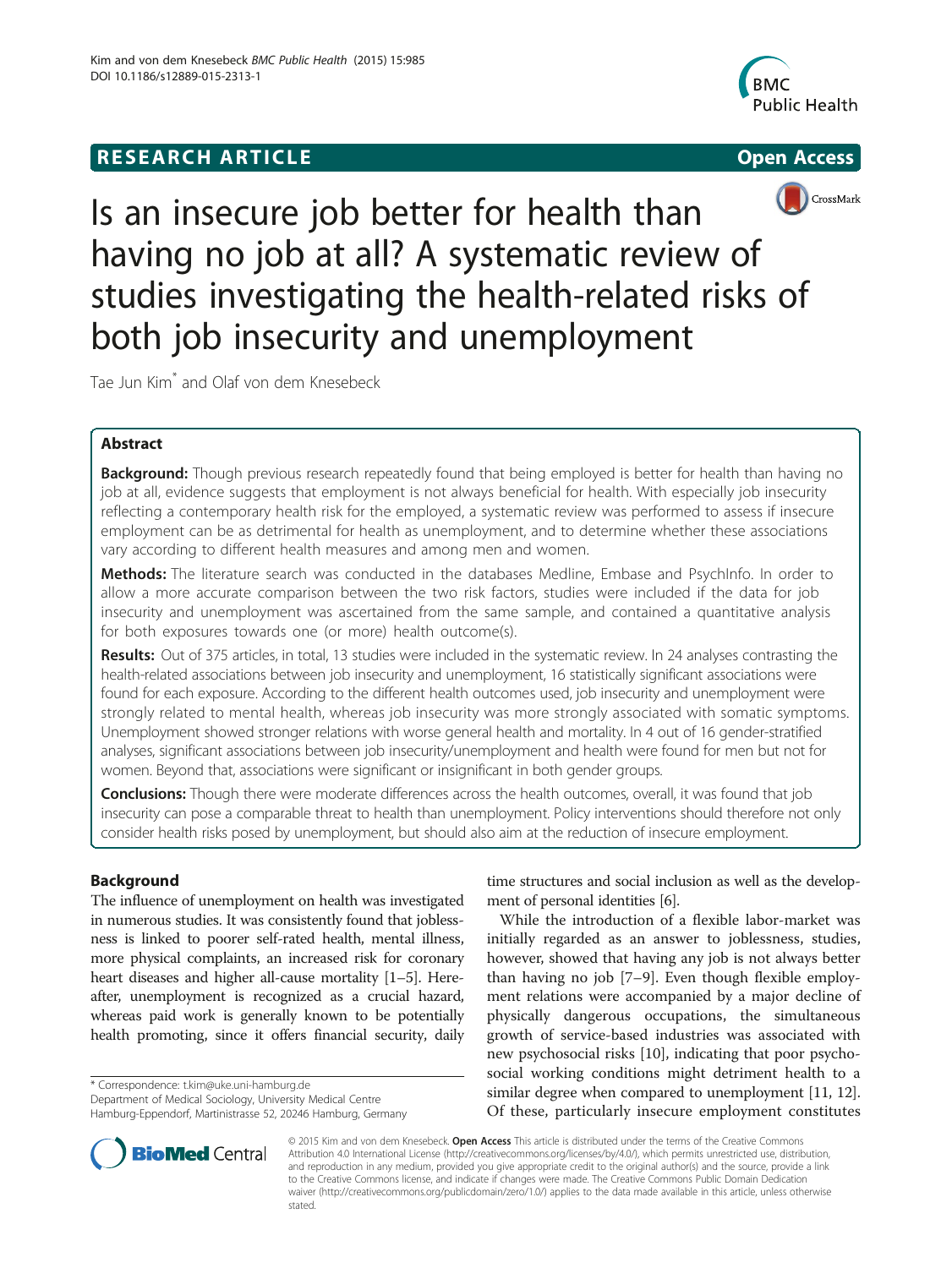# **RESEARCH ARTICLE Example 2014 CONSIDERING CONSIDERING CONSIDERING CONSIDERING CONSIDERING CONSIDERING CONSIDERING CONSIDERING CONSIDERING CONSIDERING CONSIDERING CONSIDERING CONSIDERING CONSIDERING CONSIDERING CONSIDE**







Is an insecure job better for health than having no job at all? A systematic review of studies investigating the health-related risks of both job insecurity and unemployment

Tae Jun Kim\* and Olaf von dem Knesebeck

# Abstract

Background: Though previous research repeatedly found that being employed is better for health than having no job at all, evidence suggests that employment is not always beneficial for health. With especially job insecurity reflecting a contemporary health risk for the employed, a systematic review was performed to assess if insecure employment can be as detrimental for health as unemployment, and to determine whether these associations vary according to different health measures and among men and women.

Methods: The literature search was conducted in the databases Medline, Embase and PsychInfo. In order to allow a more accurate comparison between the two risk factors, studies were included if the data for job insecurity and unemployment was ascertained from the same sample, and contained a quantitative analysis for both exposures towards one (or more) health outcome(s).

Results: Out of 375 articles, in total, 13 studies were included in the systematic review. In 24 analyses contrasting the health-related associations between job insecurity and unemployment, 16 statistically significant associations were found for each exposure. According to the different health outcomes used, job insecurity and unemployment were strongly related to mental health, whereas job insecurity was more strongly associated with somatic symptoms. Unemployment showed stronger relations with worse general health and mortality. In 4 out of 16 gender-stratified analyses, significant associations between job insecurity/unemployment and health were found for men but not for women. Beyond that, associations were significant or insignificant in both gender groups.

**Conclusions:** Though there were moderate differences across the health outcomes, overall, it was found that job insecurity can pose a comparable threat to health than unemployment. Policy interventions should therefore not only consider health risks posed by unemployment, but should also aim at the reduction of insecure employment.

# Background

The influence of unemployment on health was investigated in numerous studies. It was consistently found that joblessness is linked to poorer self-rated health, mental illness, more physical complaints, an increased risk for coronary heart diseases and higher all-cause mortality [\[1](#page-7-0)–[5\]](#page-7-0). Hereafter, unemployment is recognized as a crucial hazard, whereas paid work is generally known to be potentially health promoting, since it offers financial security, daily

\* Correspondence: [t.kim@uke.uni-hamburg.de](mailto:t.kim@uke.uni-hamburg.de)

Department of Medical Sociology, University Medical Centre Hamburg-Eppendorf, Martinistrasse 52, 20246 Hamburg, Germany time structures and social inclusion as well as the development of personal identities [[6](#page-7-0)].

While the introduction of a flexible labor-market was initially regarded as an answer to joblessness, studies, however, showed that having any job is not always better than having no job [\[7](#page-7-0)–[9\]](#page-7-0). Even though flexible employment relations were accompanied by a major decline of physically dangerous occupations, the simultaneous growth of service-based industries was associated with new psychosocial risks [[10\]](#page-7-0), indicating that poor psychosocial working conditions might detriment health to a similar degree when compared to unemployment [\[11, 12](#page-7-0)]. Of these, particularly insecure employment constitutes



© 2015 Kim and von dem Knesebeck. Open Access This article is distributed under the terms of the Creative Commons Attribution 4.0 International License [\(http://creativecommons.org/licenses/by/4.0/](http://creativecommons.org/licenses/by/4.0/)), which permits unrestricted use, distribution, and reproduction in any medium, provided you give appropriate credit to the original author(s) and the source, provide a link to the Creative Commons license, and indicate if changes were made. The Creative Commons Public Domain Dedication waiver [\(http://creativecommons.org/publicdomain/zero/1.0/\)](http://creativecommons.org/publicdomain/zero/1.0/) applies to the data made available in this article, unless otherwise stated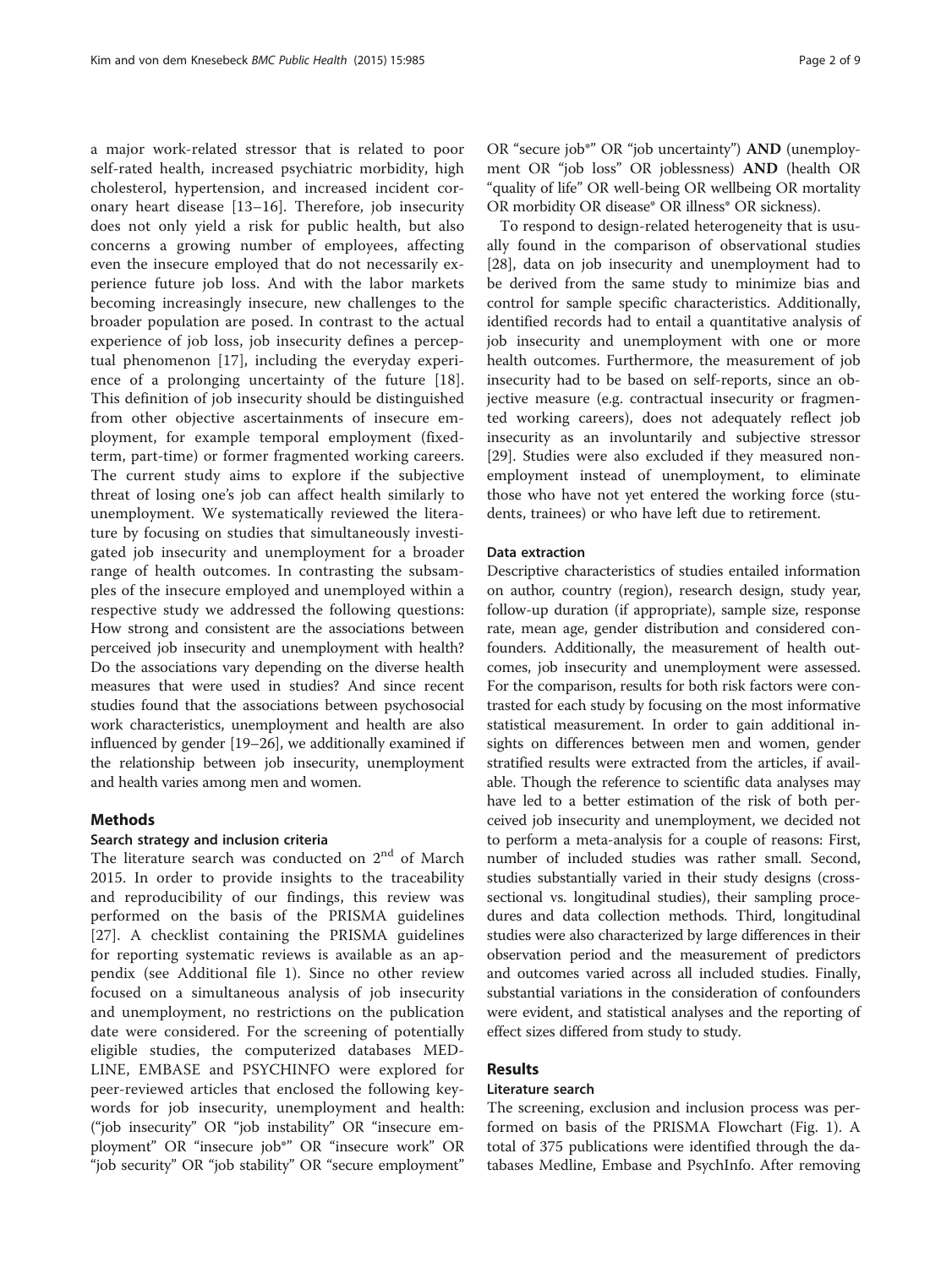a major work-related stressor that is related to poor self-rated health, increased psychiatric morbidity, high cholesterol, hypertension, and increased incident coronary heart disease [\[13](#page-7-0)–[16](#page-7-0)]. Therefore, job insecurity does not only yield a risk for public health, but also concerns a growing number of employees, affecting even the insecure employed that do not necessarily experience future job loss. And with the labor markets becoming increasingly insecure, new challenges to the broader population are posed. In contrast to the actual experience of job loss, job insecurity defines a perceptual phenomenon [[17\]](#page-7-0), including the everyday experience of a prolonging uncertainty of the future [\[18](#page-7-0)]. This definition of job insecurity should be distinguished from other objective ascertainments of insecure employment, for example temporal employment (fixedterm, part-time) or former fragmented working careers. The current study aims to explore if the subjective threat of losing one's job can affect health similarly to unemployment. We systematically reviewed the literature by focusing on studies that simultaneously investigated job insecurity and unemployment for a broader range of health outcomes. In contrasting the subsamples of the insecure employed and unemployed within a respective study we addressed the following questions: How strong and consistent are the associations between perceived job insecurity and unemployment with health? Do the associations vary depending on the diverse health measures that were used in studies? And since recent studies found that the associations between psychosocial work characteristics, unemployment and health are also influenced by gender [[19](#page-7-0)–[26](#page-8-0)], we additionally examined if the relationship between job insecurity, unemployment and health varies among men and women.

## Methods

#### Search strategy and inclusion criteria

The literature search was conducted on  $2<sup>nd</sup>$  of March 2015. In order to provide insights to the traceability and reproducibility of our findings, this review was performed on the basis of the PRISMA guidelines [[27\]](#page-8-0). A checklist containing the PRISMA guidelines for reporting systematic reviews is available as an appendix (see Additional file [1\)](#page-7-0). Since no other review focused on a simultaneous analysis of job insecurity and unemployment, no restrictions on the publication date were considered. For the screening of potentially eligible studies, the computerized databases MED-LINE, EMBASE and PSYCHINFO were explored for peer-reviewed articles that enclosed the following keywords for job insecurity, unemployment and health: ("job insecurity" OR "job instability" OR "insecure employment" OR "insecure job\*" OR "insecure work" OR "job security" OR "job stability" OR "secure employment" OR "secure job\*" OR "job uncertainty") AND (unemployment OR "job loss" OR joblessness) AND (health OR "quality of life" OR well-being OR wellbeing OR mortality OR morbidity OR disease\* OR illness\* OR sickness).

To respond to design-related heterogeneity that is usually found in the comparison of observational studies [[28\]](#page-8-0), data on job insecurity and unemployment had to be derived from the same study to minimize bias and control for sample specific characteristics. Additionally, identified records had to entail a quantitative analysis of job insecurity and unemployment with one or more health outcomes. Furthermore, the measurement of job insecurity had to be based on self-reports, since an objective measure (e.g. contractual insecurity or fragmented working careers), does not adequately reflect job insecurity as an involuntarily and subjective stressor [[29\]](#page-8-0). Studies were also excluded if they measured nonemployment instead of unemployment, to eliminate those who have not yet entered the working force (students, trainees) or who have left due to retirement.

#### Data extraction

Descriptive characteristics of studies entailed information on author, country (region), research design, study year, follow-up duration (if appropriate), sample size, response rate, mean age, gender distribution and considered confounders. Additionally, the measurement of health outcomes, job insecurity and unemployment were assessed. For the comparison, results for both risk factors were contrasted for each study by focusing on the most informative statistical measurement. In order to gain additional insights on differences between men and women, gender stratified results were extracted from the articles, if available. Though the reference to scientific data analyses may have led to a better estimation of the risk of both perceived job insecurity and unemployment, we decided not to perform a meta-analysis for a couple of reasons: First, number of included studies was rather small. Second, studies substantially varied in their study designs (crosssectional vs. longitudinal studies), their sampling procedures and data collection methods. Third, longitudinal studies were also characterized by large differences in their observation period and the measurement of predictors and outcomes varied across all included studies. Finally, substantial variations in the consideration of confounders were evident, and statistical analyses and the reporting of effect sizes differed from study to study.

## Results

## Literature search

The screening, exclusion and inclusion process was performed on basis of the PRISMA Flowchart (Fig. [1\)](#page-2-0). A total of 375 publications were identified through the databases Medline, Embase and PsychInfo. After removing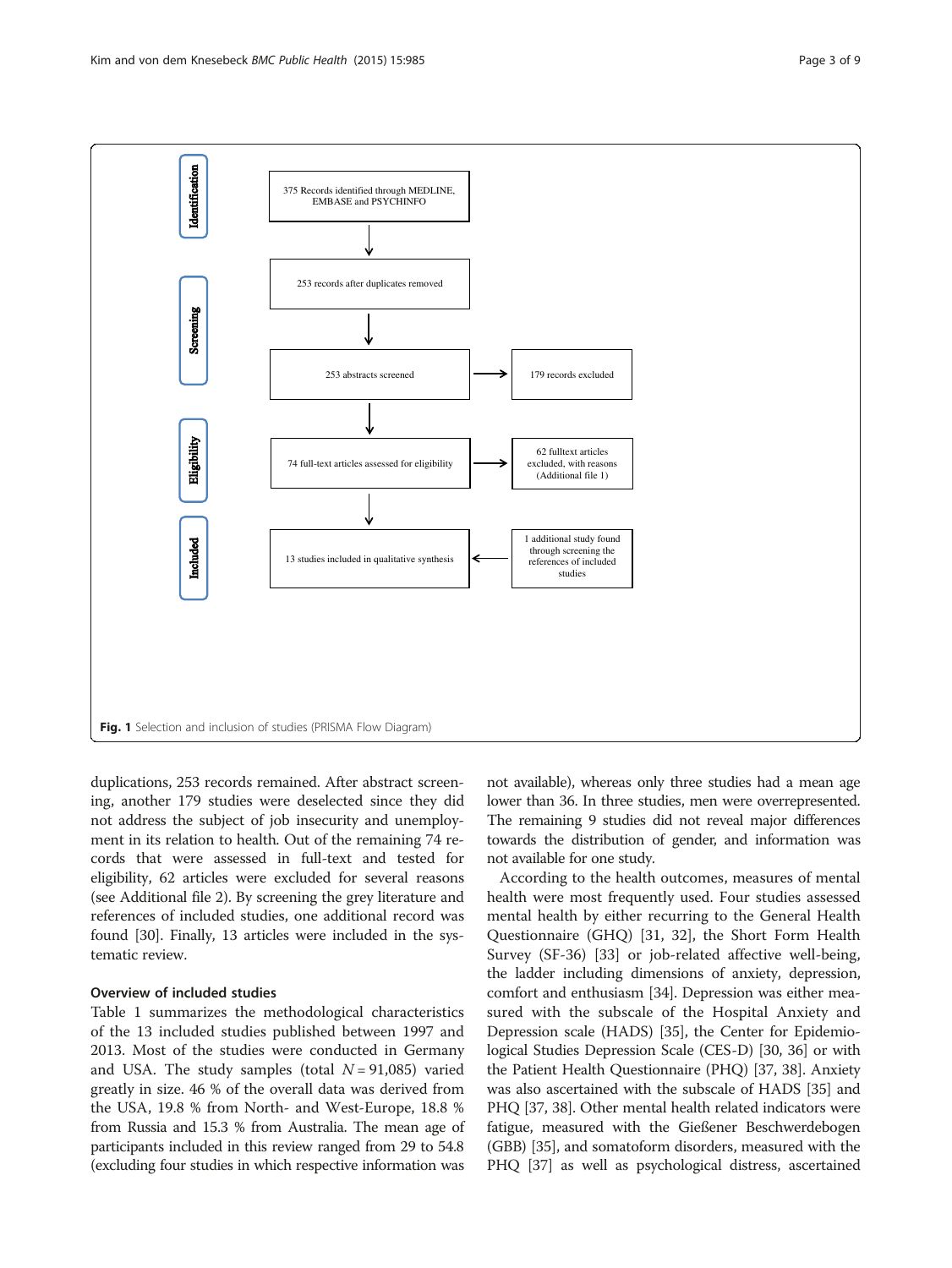<span id="page-2-0"></span>

duplications, 253 records remained. After abstract screening, another 179 studies were deselected since they did not address the subject of job insecurity and unemployment in its relation to health. Out of the remaining 74 records that were assessed in full-text and tested for eligibility, 62 articles were excluded for several reasons (see Additional file [2\)](#page-7-0). By screening the grey literature and references of included studies, one additional record was found [\[30](#page-8-0)]. Finally, 13 articles were included in the systematic review.

## Overview of included studies

Table [1](#page-3-0) summarizes the methodological characteristics of the 13 included studies published between 1997 and 2013. Most of the studies were conducted in Germany and USA. The study samples (total  $N = 91,085$ ) varied greatly in size. 46 % of the overall data was derived from the USA, 19.8 % from North- and West-Europe, 18.8 % from Russia and 15.3 % from Australia. The mean age of participants included in this review ranged from 29 to 54.8 (excluding four studies in which respective information was

not available), whereas only three studies had a mean age lower than 36. In three studies, men were overrepresented. The remaining 9 studies did not reveal major differences towards the distribution of gender, and information was not available for one study.

According to the health outcomes, measures of mental health were most frequently used. Four studies assessed mental health by either recurring to the General Health Questionnaire (GHQ) [[31, 32](#page-8-0)], the Short Form Health Survey (SF-36) [\[33\]](#page-8-0) or job-related affective well-being, the ladder including dimensions of anxiety, depression, comfort and enthusiasm [\[34\]](#page-8-0). Depression was either measured with the subscale of the Hospital Anxiety and Depression scale (HADS) [[35](#page-8-0)], the Center for Epidemiological Studies Depression Scale (CES-D) [\[30, 36\]](#page-8-0) or with the Patient Health Questionnaire (PHQ) [[37](#page-8-0), [38](#page-8-0)]. Anxiety was also ascertained with the subscale of HADS [[35](#page-8-0)] and PHQ [\[37, 38](#page-8-0)]. Other mental health related indicators were fatigue, measured with the Gießener Beschwerdebogen (GBB) [\[35](#page-8-0)], and somatoform disorders, measured with the PHQ [\[37\]](#page-8-0) as well as psychological distress, ascertained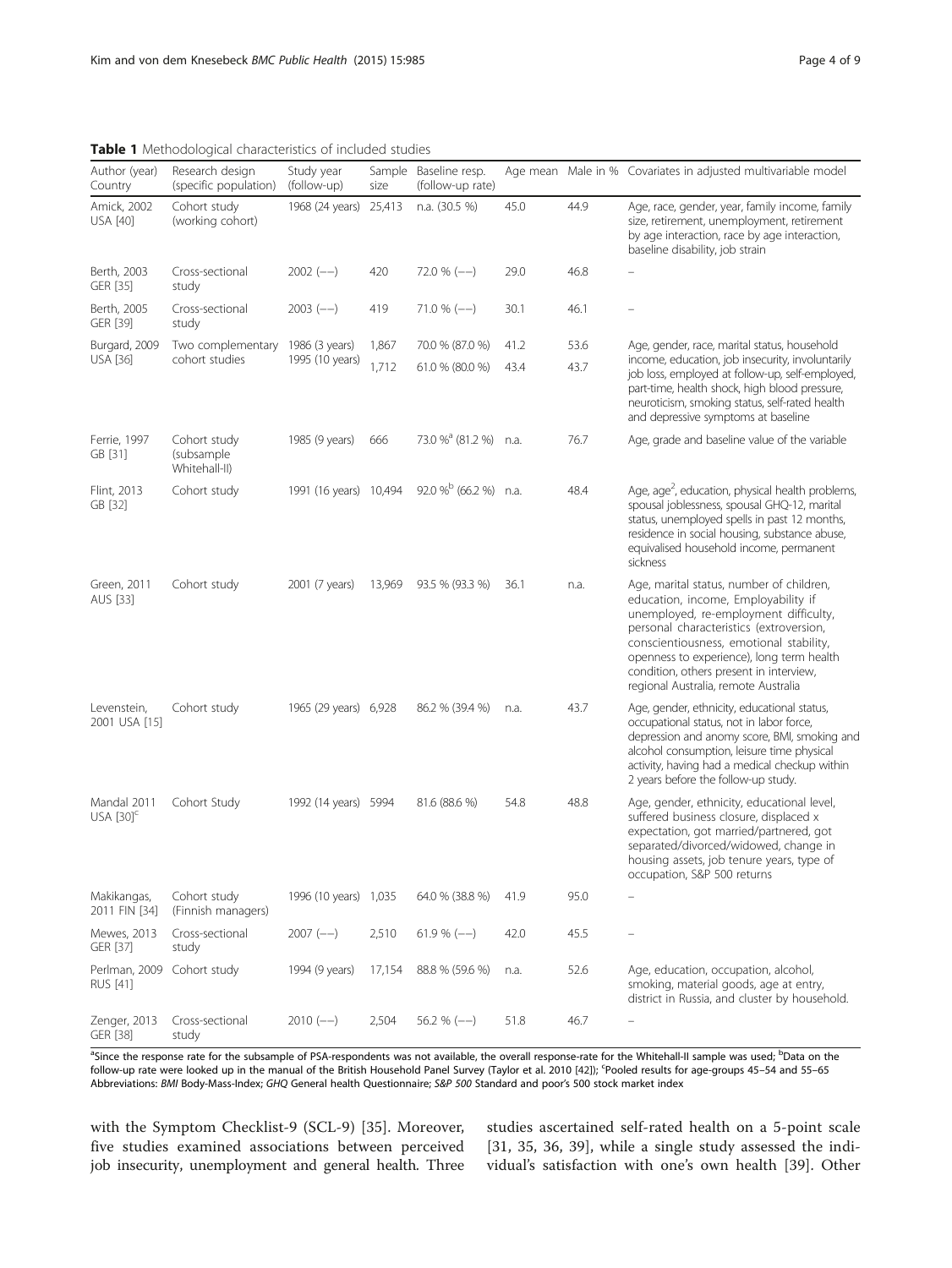|                                        | <b>TWO I</b> INCORDODYCAL CHARACTERICS OF INCIDADA STARTICS |                           |        |                                           |      |      |                                                                                                                                                                                                                                                                                                                                                |
|----------------------------------------|-------------------------------------------------------------|---------------------------|--------|-------------------------------------------|------|------|------------------------------------------------------------------------------------------------------------------------------------------------------------------------------------------------------------------------------------------------------------------------------------------------------------------------------------------------|
| Author (year)<br>Country               | Research design<br>(specific population)                    | Study year<br>(follow-up) | size   | Sample Baseline resp.<br>(follow-up rate) |      |      | Age mean Male in % Covariates in adjusted multivariable model                                                                                                                                                                                                                                                                                  |
| Amick, 2002<br>USA [40]                | Cohort study<br>(working cohort)                            | 1968 (24 years) 25,413    |        | n.a. (30.5 %)                             | 45.0 | 44.9 | Age, race, gender, year, family income, family<br>size, retirement, unemployment, retirement<br>by age interaction, race by age interaction,<br>baseline disability, job strain                                                                                                                                                                |
| Berth, 2003<br>GER [35]                | Cross-sectional<br>study                                    | $2002 (--)$               | 420    | $72.0 \% (--)$                            | 29.0 | 46.8 |                                                                                                                                                                                                                                                                                                                                                |
| Berth, 2005<br>GER [39]                | Cross-sectional<br>study                                    | $2003 (--)$               | 419    | $71.0 \% (--)$                            | 30.1 | 46.1 | ÷                                                                                                                                                                                                                                                                                                                                              |
| Burgard, 2009                          | Two complementary 1986 (3 years)                            |                           | 1,867  | 70.0 % (87.0 %)                           | 41.2 | 53.6 | Age, gender, race, marital status, household                                                                                                                                                                                                                                                                                                   |
| <b>USA [36]</b>                        | cohort studies                                              | 1995 (10 years)           | 1,712  | 61.0 % (80.0 %)                           | 43.4 | 43.7 | income, education, job insecurity, involuntarily<br>job loss, employed at follow-up, self-employed,<br>part-time, health shock, high blood pressure,<br>neuroticism, smoking status, self-rated health<br>and depressive symptoms at baseline                                                                                                  |
| Ferrie, 1997<br>GB [31]                | Cohort study<br>(subsample<br>Whitehall-II)                 | 1985 (9 years)            | 666    | 73.0 % <sup>a</sup> (81.2 %) n.a.         |      | 76.7 | Age, grade and baseline value of the variable                                                                                                                                                                                                                                                                                                  |
| Flint, 2013<br>GB [32]                 | Cohort study                                                | 1991 (16 years) 10,494    |        | 92.0 % <sup>b</sup> (66.2 %) n.a.         |      | 48.4 | Age, age <sup>2</sup> , education, physical health problems,<br>spousal joblessness, spousal GHQ-12, marital<br>status, unemployed spells in past 12 months,<br>residence in social housing, substance abuse,<br>equivalised household income, permanent<br>sickness                                                                           |
| Green, 2011<br>AUS [33]                | Cohort study                                                | 2001 (7 years)            | 13,969 | 93.5 % (93.3 %)                           | 36.1 | n.a. | Age, marital status, number of children,<br>education, income, Employability if<br>unemployed, re-employment difficulty,<br>personal characteristics (extroversion,<br>conscientiousness, emotional stability,<br>openness to experience), long term health<br>condition, others present in interview,<br>regional Australia, remote Australia |
| Levenstein,<br>2001 USA [15]           | Cohort study                                                | 1965 (29 years) 6,928     |        | 86.2 % (39.4 %)                           | n.a. | 43.7 | Age, gender, ethnicity, educational status,<br>occupational status, not in labor force,<br>depression and anomy score, BMI, smoking and<br>alcohol consumption, leisure time physical<br>activity, having had a medical checkup within<br>2 years before the follow-up study.                                                                  |
| Mandal 2011<br>USA $[30]$ <sup>c</sup> | Cohort Study                                                | 1992 (14 years) 5994      |        | 81.6 (88.6 %)                             | 54.8 | 48.8 | Age, gender, ethnicity, educational level,<br>suffered business closure, displaced x<br>expectation, got married/partnered, got<br>separated/divorced/widowed, change in<br>housing assets, job tenure years, type of<br>occupation, S&P 500 returns                                                                                           |
| Makikangas,<br>2011 FIN [34]           | Cohort study<br>(Finnish managers)                          | 1996 (10 years) 1,035     |        | 64.0 % (38.8 %)                           | 41.9 | 95.0 | $\qquad \qquad -$                                                                                                                                                                                                                                                                                                                              |
| Mewes, 2013<br>GER [37]                | Cross-sectional<br>study                                    | $2007 (--)$               | 2,510  | $61.9 \% (--)$                            | 42.0 | 45.5 |                                                                                                                                                                                                                                                                                                                                                |
| Perlman, 2009 Cohort study<br>RUS [41] |                                                             | 1994 (9 years)            | 17,154 | 88.8 % (59.6 %)                           | n.a. | 52.6 | Age, education, occupation, alcohol,<br>smoking, material goods, age at entry,<br>district in Russia, and cluster by household.                                                                                                                                                                                                                |
| Zenger, 2013<br>GER [38]               | Cross-sectional<br>study                                    | $2010 (--)$               | 2,504  | 56.2 % $(--)$                             | 51.8 | 46.7 |                                                                                                                                                                                                                                                                                                                                                |

<span id="page-3-0"></span>Table 1 Methodological characteristics of included studies

<sup>a</sup>Since the response rate for the subsample of PSA-respondents was not available, the overall response-rate for the Whitehall-II sample was used; <sup>b</sup>Data on the follow-up rate were looked up in the manual of the British Household Panel Survey (Taylor et al. 2010 [[42](#page-8-0)]); <sup>c</sup>Pooled results for age-groups 45-54 and 55-65 Abbreviations: BMI Body-Mass-Index; GHQ General health Questionnaire; S&P 500 Standard and poor's 500 stock market index

with the Symptom Checklist-9 (SCL-9) [\[35](#page-8-0)]. Moreover, five studies examined associations between perceived job insecurity, unemployment and general health. Three studies ascertained self-rated health on a 5-point scale [[31, 35](#page-8-0), [36](#page-8-0), [39](#page-8-0)], while a single study assessed the individual's satisfaction with one's own health [[39\]](#page-8-0). Other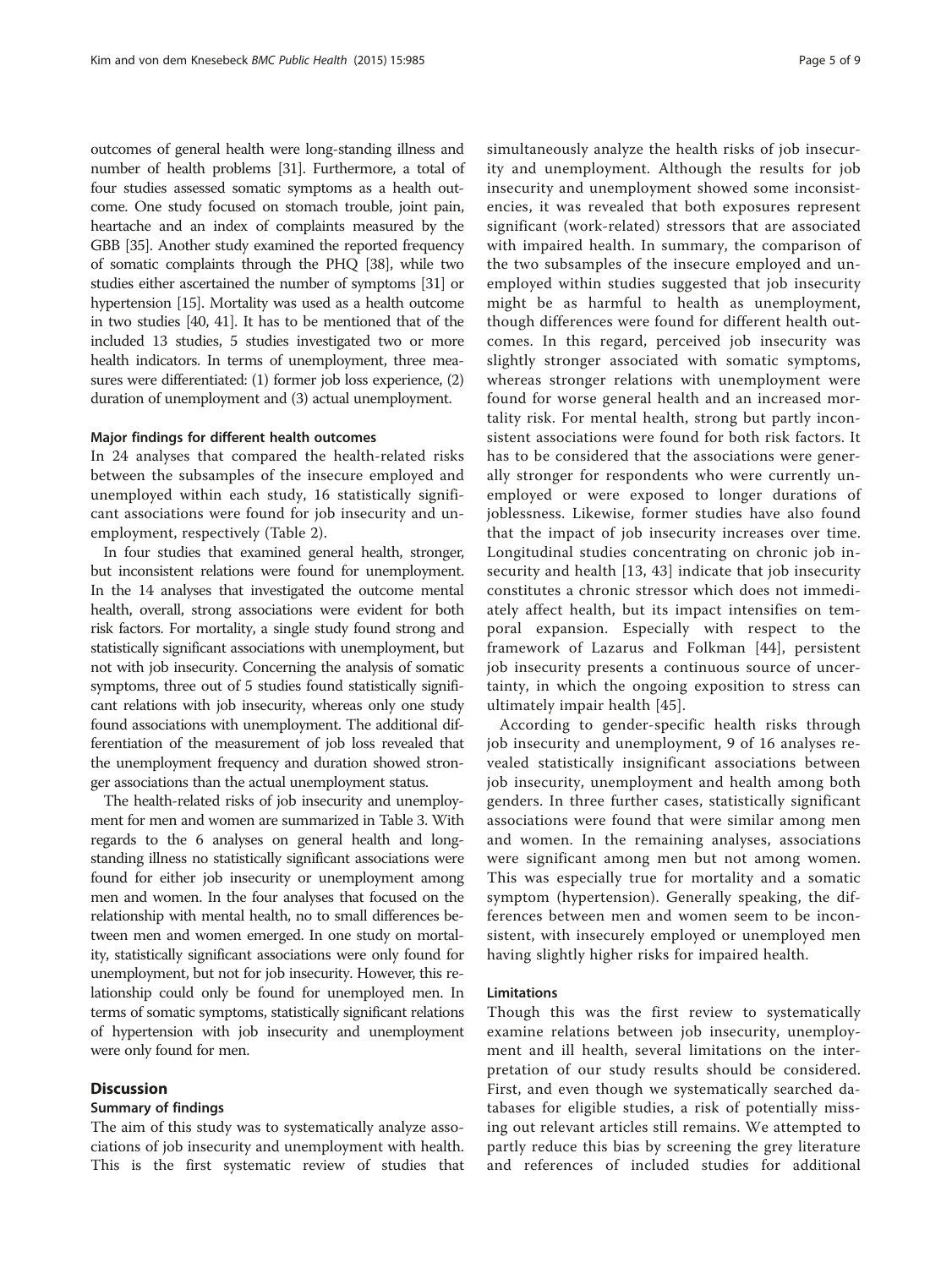outcomes of general health were long-standing illness and number of health problems [\[31](#page-8-0)]. Furthermore, a total of four studies assessed somatic symptoms as a health outcome. One study focused on stomach trouble, joint pain, heartache and an index of complaints measured by the GBB [\[35\]](#page-8-0). Another study examined the reported frequency of somatic complaints through the PHQ [[38\]](#page-8-0), while two studies either ascertained the number of symptoms [\[31\]](#page-8-0) or hypertension [[15](#page-7-0)]. Mortality was used as a health outcome in two studies [\[40, 41\]](#page-8-0). It has to be mentioned that of the included 13 studies, 5 studies investigated two or more health indicators. In terms of unemployment, three measures were differentiated: (1) former job loss experience, (2) duration of unemployment and (3) actual unemployment.

#### Major findings for different health outcomes

In 24 analyses that compared the health-related risks between the subsamples of the insecure employed and unemployed within each study, 16 statistically significant associations were found for job insecurity and unemployment, respectively (Table [2](#page-5-0)).

In four studies that examined general health, stronger, but inconsistent relations were found for unemployment. In the 14 analyses that investigated the outcome mental health, overall, strong associations were evident for both risk factors. For mortality, a single study found strong and statistically significant associations with unemployment, but not with job insecurity. Concerning the analysis of somatic symptoms, three out of 5 studies found statistically significant relations with job insecurity, whereas only one study found associations with unemployment. The additional differentiation of the measurement of job loss revealed that the unemployment frequency and duration showed stronger associations than the actual unemployment status.

The health-related risks of job insecurity and unemployment for men and women are summarized in Table [3.](#page-6-0) With regards to the 6 analyses on general health and longstanding illness no statistically significant associations were found for either job insecurity or unemployment among men and women. In the four analyses that focused on the relationship with mental health, no to small differences between men and women emerged. In one study on mortality, statistically significant associations were only found for unemployment, but not for job insecurity. However, this relationship could only be found for unemployed men. In terms of somatic symptoms, statistically significant relations of hypertension with job insecurity and unemployment were only found for men.

## **Discussion**

## Summary of findings

The aim of this study was to systematically analyze associations of job insecurity and unemployment with health. This is the first systematic review of studies that

simultaneously analyze the health risks of job insecurity and unemployment. Although the results for job insecurity and unemployment showed some inconsistencies, it was revealed that both exposures represent significant (work-related) stressors that are associated with impaired health. In summary, the comparison of the two subsamples of the insecure employed and unemployed within studies suggested that job insecurity might be as harmful to health as unemployment, though differences were found for different health outcomes. In this regard, perceived job insecurity was slightly stronger associated with somatic symptoms, whereas stronger relations with unemployment were found for worse general health and an increased mortality risk. For mental health, strong but partly inconsistent associations were found for both risk factors. It has to be considered that the associations were generally stronger for respondents who were currently unemployed or were exposed to longer durations of joblessness. Likewise, former studies have also found that the impact of job insecurity increases over time. Longitudinal studies concentrating on chronic job insecurity and health [\[13,](#page-7-0) [43](#page-8-0)] indicate that job insecurity constitutes a chronic stressor which does not immediately affect health, but its impact intensifies on temporal expansion. Especially with respect to the framework of Lazarus and Folkman [[44\]](#page-8-0), persistent job insecurity presents a continuous source of uncertainty, in which the ongoing exposition to stress can ultimately impair health [[45\]](#page-8-0).

According to gender-specific health risks through job insecurity and unemployment, 9 of 16 analyses revealed statistically insignificant associations between job insecurity, unemployment and health among both genders. In three further cases, statistically significant associations were found that were similar among men and women. In the remaining analyses, associations were significant among men but not among women. This was especially true for mortality and a somatic symptom (hypertension). Generally speaking, the differences between men and women seem to be inconsistent, with insecurely employed or unemployed men having slightly higher risks for impaired health.

## Limitations

Though this was the first review to systematically examine relations between job insecurity, unemployment and ill health, several limitations on the interpretation of our study results should be considered. First, and even though we systematically searched databases for eligible studies, a risk of potentially missing out relevant articles still remains. We attempted to partly reduce this bias by screening the grey literature and references of included studies for additional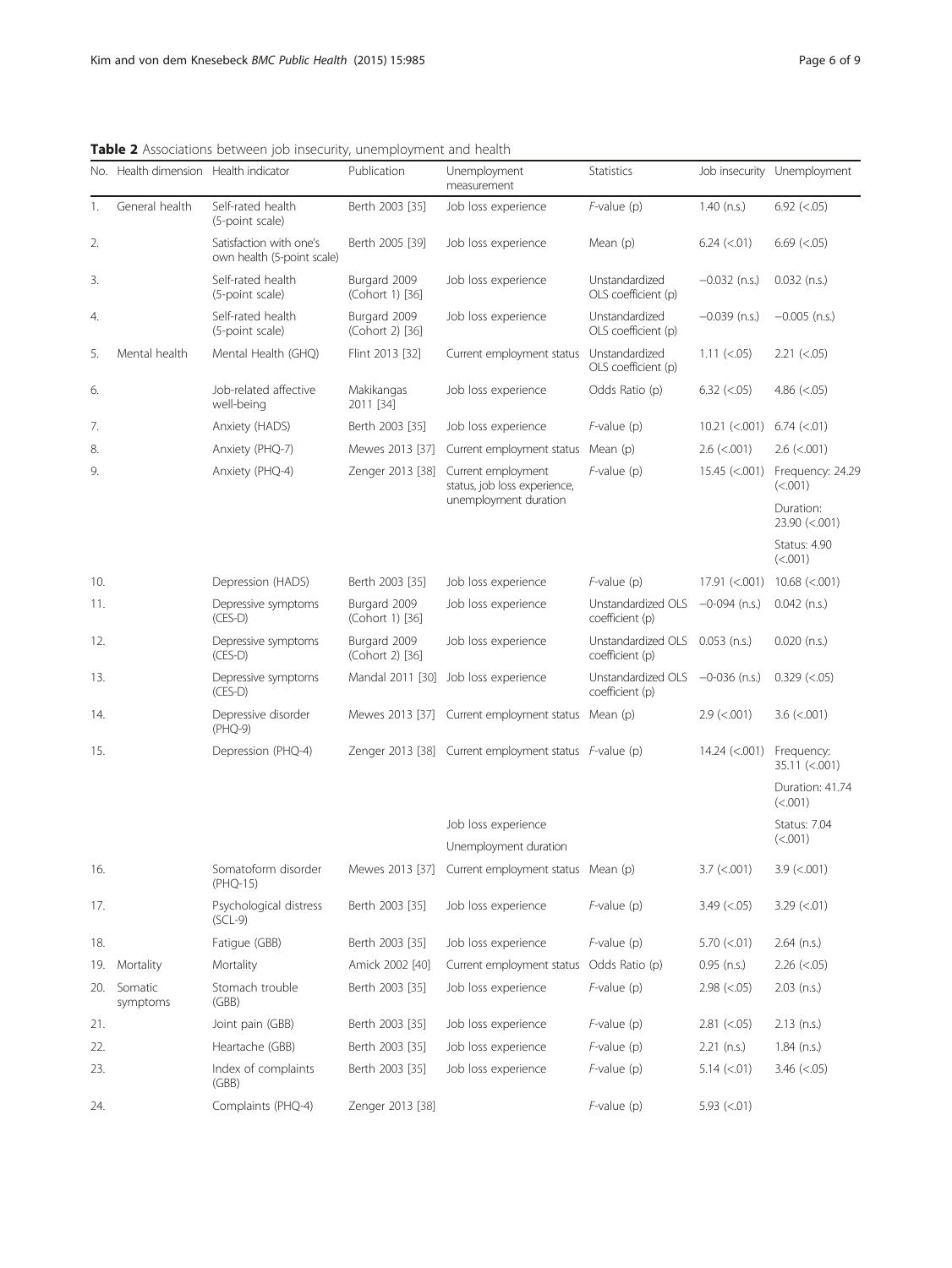<span id="page-5-0"></span>Table 2 Associations between job insecurity, unemployment and health

|     | No. Health dimension Health indicator |                                                       | Publication                     | Unemployment<br>measurement                            | Statistics                            |                     | Job insecurity Unemployment    |
|-----|---------------------------------------|-------------------------------------------------------|---------------------------------|--------------------------------------------------------|---------------------------------------|---------------------|--------------------------------|
| 1.  | General health                        | Self-rated health<br>(5-point scale)                  | Berth 2003 [35]                 | Job loss experience                                    | $F$ -value (p)                        | $1.40$ (n.s.)       | $6.92$ (<.05)                  |
| 2.  |                                       | Satisfaction with one's<br>own health (5-point scale) | Berth 2005 [39]                 | Job loss experience                                    | Mean (p)                              | $6.24$ ( $< 01$ )   | $6.69$ ( $< 0.05$ )            |
| 3.  |                                       | Self-rated health<br>(5-point scale)                  | Burgard 2009<br>(Cohort 1) [36] | Job loss experience                                    | Unstandardized<br>OLS coefficient (p) | $-0.032$ (n.s.)     | $0.032$ (n.s.)                 |
| 4.  |                                       | Self-rated health<br>(5-point scale)                  | Burgard 2009<br>(Cohort 2) [36] | Job loss experience                                    | Unstandardized<br>OLS coefficient (p) | $-0.039$ (n.s.)     | $-0.005$ (n.s.)                |
| 5.  | Mental health                         | Mental Health (GHQ)                                   | Flint 2013 [32]                 | Current employment status                              | Unstandardized<br>OLS coefficient (p) | 1.11 (< .05)        | 2.21 (< .05)                   |
| 6.  |                                       | Job-related affective<br>well-being                   | Makikangas<br>2011 [34]         | Job loss experience                                    | Odds Ratio (p)                        | $6.32$ ( $< .05$ )  | 4.86 $(< .05)$                 |
| 7.  |                                       | Anxiety (HADS)                                        | Berth 2003 [35]                 | Job loss experience                                    | $F$ -value (p)                        | $10.21~(\leq .001)$ | $6.74$ ( $< 01$ )              |
| 8.  |                                       | Anxiety (PHQ-7)                                       | Mewes 2013 [37]                 | Current employment status                              | Mean (p)                              | $2.6$ ( $< .001$ )  | $2.6$ ( $< .001$ )             |
| 9.  |                                       | Anxiety (PHQ-4)                                       | Zenger 2013 [38]                | Current employment<br>status, job loss experience,     | $F$ -value (p)                        | $15.45$ (<.001)     | Frequency: 24.29<br>(<.001)    |
|     |                                       |                                                       |                                 | unemployment duration                                  |                                       |                     | Duration:<br>23.90 (<.001)     |
|     |                                       |                                                       |                                 |                                                        |                                       |                     | <b>Status: 4.90</b><br>(<.001) |
| 10. |                                       | Depression (HADS)                                     | Berth 2003 [35]                 | Job loss experience                                    | $F$ -value (p)                        | $17.91$ (<.001)     | $10.68$ (<.001)                |
| 11. |                                       | Depressive symptoms<br>$(CES-D)$                      | Burgard 2009<br>(Cohort 1) [36] | Job loss experience                                    | Unstandardized OLS<br>coefficient (p) | $-0-094$ (n.s.)     | $0.042$ (n.s.)                 |
| 12. |                                       | Depressive symptoms<br>$(CES-D)$                      | Burgard 2009<br>(Cohort 2) [36] | Job loss experience                                    | Unstandardized OLS<br>coefficient (p) | $0.053$ (n.s.)      | $0.020$ (n.s.)                 |
| 13. |                                       | Depressive symptoms<br>$(CES-D)$                      | Mandal 2011 [30]                | Job loss experience                                    | Unstandardized OLS<br>coefficient (p) | $-0-036$ (n.s.)     | $0.329$ ( $0.05$ )             |
| 14. |                                       | Depressive disorder<br>(PHQ-9)                        |                                 | Mewes 2013 [37] Current employment status Mean (p)     |                                       | $2.9$ ( $< .001$ )  | $3.6$ ( $< .001$ )             |
| 15. |                                       | Depression (PHQ-4)                                    |                                 | Zenger 2013 [38] Current employment status F-value (p) |                                       | $14.24$ (<.001)     | Frequency:<br>$35.11$ (<.001)  |
|     |                                       |                                                       |                                 |                                                        |                                       |                     | Duration: 41.74<br>(< .001)    |
|     |                                       |                                                       |                                 | Job loss experience                                    |                                       |                     | <b>Status: 7.04</b>            |
|     |                                       |                                                       |                                 | Unemployment duration                                  |                                       |                     | (<.001)                        |
| 16. |                                       | Somatoform disorder<br>(PHQ-15)                       | Mewes 2013 [37]                 | Current employment status Mean (p)                     |                                       | $3.7$ ( $< .001$ )  | $3.9$ (<.001)                  |
| 17. |                                       | Psychological distress<br>$(SCL-9)$                   | Berth 2003 [35]                 | Job loss experience                                    | $F$ -value (p)                        | $3.49$ (<.05)       | $3.29$ ( $< 01$ )              |
| 18. |                                       | Fatigue (GBB)                                         | Berth 2003 [35]                 | Job loss experience                                    | $F$ -value (p)                        | $5.70$ ( $< 01$ )   | $2.64$ (n.s.)                  |
| 19. | Mortality                             | Mortality                                             | Amick 2002 [40]                 | Current employment status                              | Odds Ratio (p)                        | $0.95$ (n.s.)       | $2.26 \le 0.05$                |
|     | 20. Somatic<br>symptoms               | Stomach trouble<br>(GBB)                              | Berth 2003 [35]                 | Job loss experience                                    | $F$ -value (p)                        | $2.98$ (<.05)       | $2.03$ (n.s.)                  |
| 21. |                                       | Joint pain (GBB)                                      | Berth 2003 [35]                 | Job loss experience                                    | $F$ -value (p)                        | $2.81$ (<.05)       | $2.13$ (n.s.)                  |
| 22. |                                       | Heartache (GBB)                                       | Berth 2003 [35]                 | Job loss experience                                    | $F$ -value (p)                        | 2.21 (n.s.)         | $1.84$ (n.s.)                  |
| 23. |                                       | Index of complaints<br>(GBB)                          | Berth 2003 [35]                 | Job loss experience                                    | $F$ -value (p)                        | 5.14~(< .01)        | $3.46$ (<.05)                  |
| 24. |                                       | Complaints (PHQ-4)                                    | Zenger 2013 [38]                |                                                        | $F$ -value (p)                        | $5.93$ (<.01)       |                                |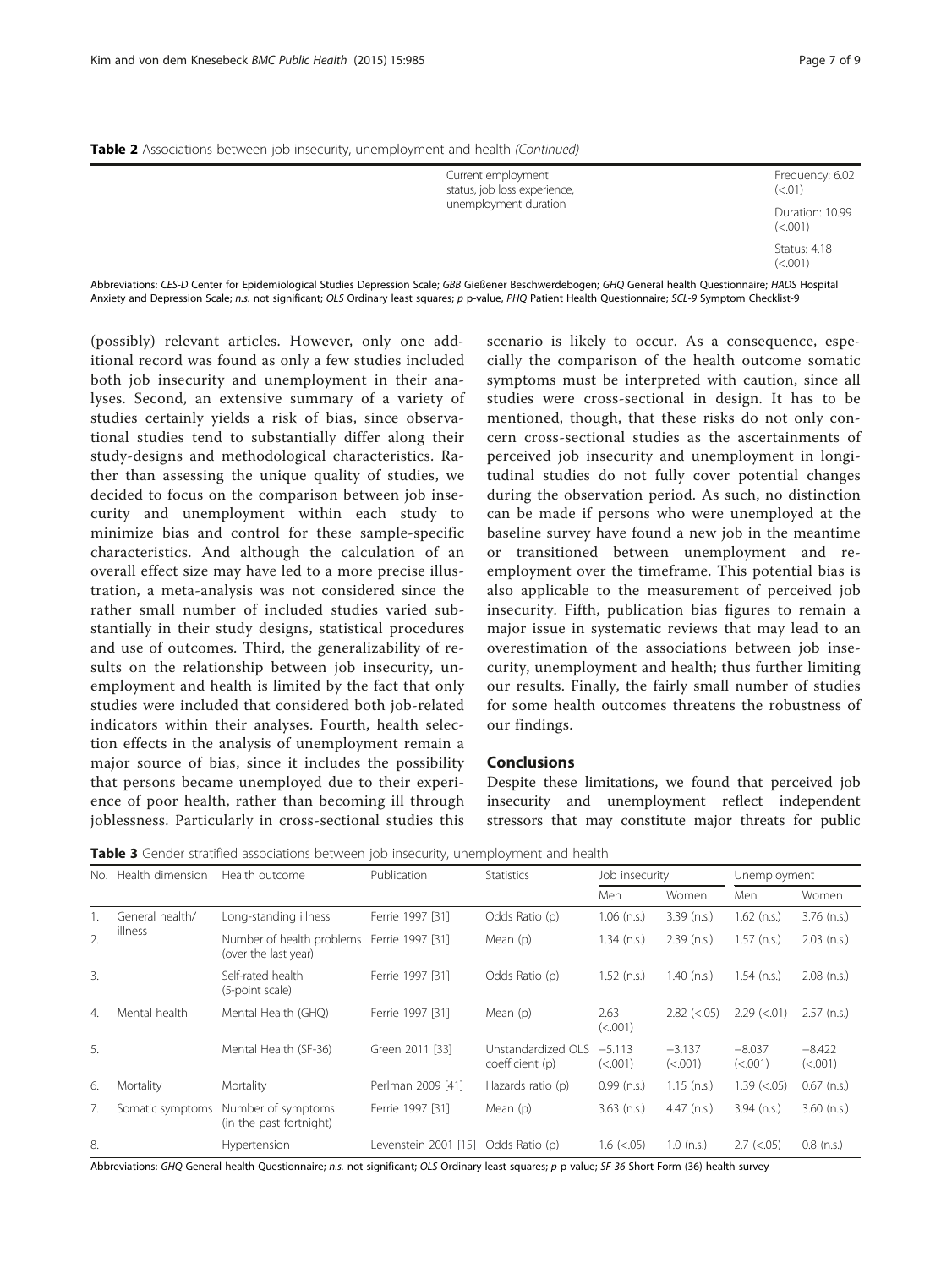<span id="page-6-0"></span>

| Current employment<br>status, job loss experience, | Frequency: 6.02<br>(<.01)       |
|----------------------------------------------------|---------------------------------|
| unemployment duration                              | Duration: 10.99<br>(<.001)      |
|                                                    | <b>Status: 4.18</b><br>(< .001) |

Abbreviations: CES-D Center for Epidemiological Studies Depression Scale; GBB Gießener Beschwerdebogen; GHQ General health Questionnaire; HADS Hospital Anxiety and Depression Scale; n.s. not significant; OLS Ordinary least squares; p p-value, PHQ Patient Health Questionnaire; SCL-9 Symptom Checklist-9

(possibly) relevant articles. However, only one additional record was found as only a few studies included both job insecurity and unemployment in their analyses. Second, an extensive summary of a variety of studies certainly yields a risk of bias, since observational studies tend to substantially differ along their study-designs and methodological characteristics. Rather than assessing the unique quality of studies, we decided to focus on the comparison between job insecurity and unemployment within each study to minimize bias and control for these sample-specific characteristics. And although the calculation of an overall effect size may have led to a more precise illustration, a meta-analysis was not considered since the rather small number of included studies varied substantially in their study designs, statistical procedures and use of outcomes. Third, the generalizability of results on the relationship between job insecurity, unemployment and health is limited by the fact that only studies were included that considered both job-related indicators within their analyses. Fourth, health selection effects in the analysis of unemployment remain a major source of bias, since it includes the possibility that persons became unemployed due to their experience of poor health, rather than becoming ill through joblessness. Particularly in cross-sectional studies this

scenario is likely to occur. As a consequence, especially the comparison of the health outcome somatic symptoms must be interpreted with caution, since all studies were cross-sectional in design. It has to be mentioned, though, that these risks do not only concern cross-sectional studies as the ascertainments of perceived job insecurity and unemployment in longitudinal studies do not fully cover potential changes during the observation period. As such, no distinction can be made if persons who were unemployed at the baseline survey have found a new job in the meantime or transitioned between unemployment and reemployment over the timeframe. This potential bias is also applicable to the measurement of perceived job insecurity. Fifth, publication bias figures to remain a major issue in systematic reviews that may lead to an overestimation of the associations between job insecurity, unemployment and health; thus further limiting our results. Finally, the fairly small number of studies for some health outcomes threatens the robustness of our findings.

# Conclusions

Despite these limitations, we found that perceived job insecurity and unemployment reflect independent stressors that may constitute major threats for public

Table 3 Gender stratified associations between job insecurity, unemployment and health

| No.                   | Health dimension           | Health outcome                                    | Publication          | Statistics                            | Job insecurity      |                     | Unemployment        |                     |
|-----------------------|----------------------------|---------------------------------------------------|----------------------|---------------------------------------|---------------------|---------------------|---------------------|---------------------|
|                       |                            |                                                   |                      |                                       | Men                 | Women               | Men                 | Women               |
|                       | General health/<br>illness | Long-standing illness                             | Ferrie 1997 [31]     | Odds Ratio (p)                        | $1.06$ (n.s.)       | $3.39$ (n.s.)       | $1.62$ (n.s.)       | $3.76$ (n.s.)       |
| $\overline{2}$ .      |                            | Number of health problems<br>(over the last year) | Ferrie 1997 [31]     | Mean (p)                              | $1.34$ (n.s.)       | $2.39$ (n.s.)       | $1.57$ (n.s.)       | $2.03$ (n.s.)       |
| 3.                    |                            | Self-rated health<br>(5-point scale)              | Ferrie 1997 [31]     | Odds Ratio (p)                        | $1.52$ (n.s.)       | $1.40$ (n.s.)       | $1.54$ (n.s.)       | $2.08$ (n.s.)       |
| $\mathcal{A}_{\cdot}$ | Mental health              | Mental Health (GHQ)                               | Ferrie 1997 [31]     | Mean (p)                              | 2.63<br>(<.001)     | $2.82$ ( $< 0.05$ ) | $2.29$ ( $< 01$ )   | $2.57$ (n.s.)       |
| 5.                    |                            | Mental Health (SF-36)                             | Green 2011 [33]      | Unstandardized OLS<br>coefficient (p) | $-5.113$<br>(<.001) | $-3.137$<br>(<.001) | $-8.037$<br>(<.001) | $-8.422$<br>(<.001) |
| 6.                    | Mortality                  | Mortality                                         | Perlman 2009 [41]    | Hazards ratio (p)                     | $0.99$ (n.s.)       | $1.15$ (n.s.)       | $1.39$ ( $< 0.05$ ) | $0.67$ (n.s.)       |
| 7.                    | Somatic symptoms           | Number of symptoms<br>(in the past fortnight)     | Ferrie 1997 [31]     | Mean (p)                              | $3.63$ (n.s.)       | $4.47$ (n.s.)       | $3.94$ (n.s.)       | $3.60$ (n.s.)       |
| 8.                    |                            | Hypertension                                      | Levenstein 2001 [15] | Odds Ratio (p)                        | $1.6$ ( $< .05$ )   | $1.0$ (n.s.)        | $2.7$ ( $< .05$ )   | $0.8$ (n.s.)        |

Abbreviations: GHQ General health Questionnaire; n.s. not significant; OLS Ordinary least squares; p p-value; SF-36 Short Form (36) health survey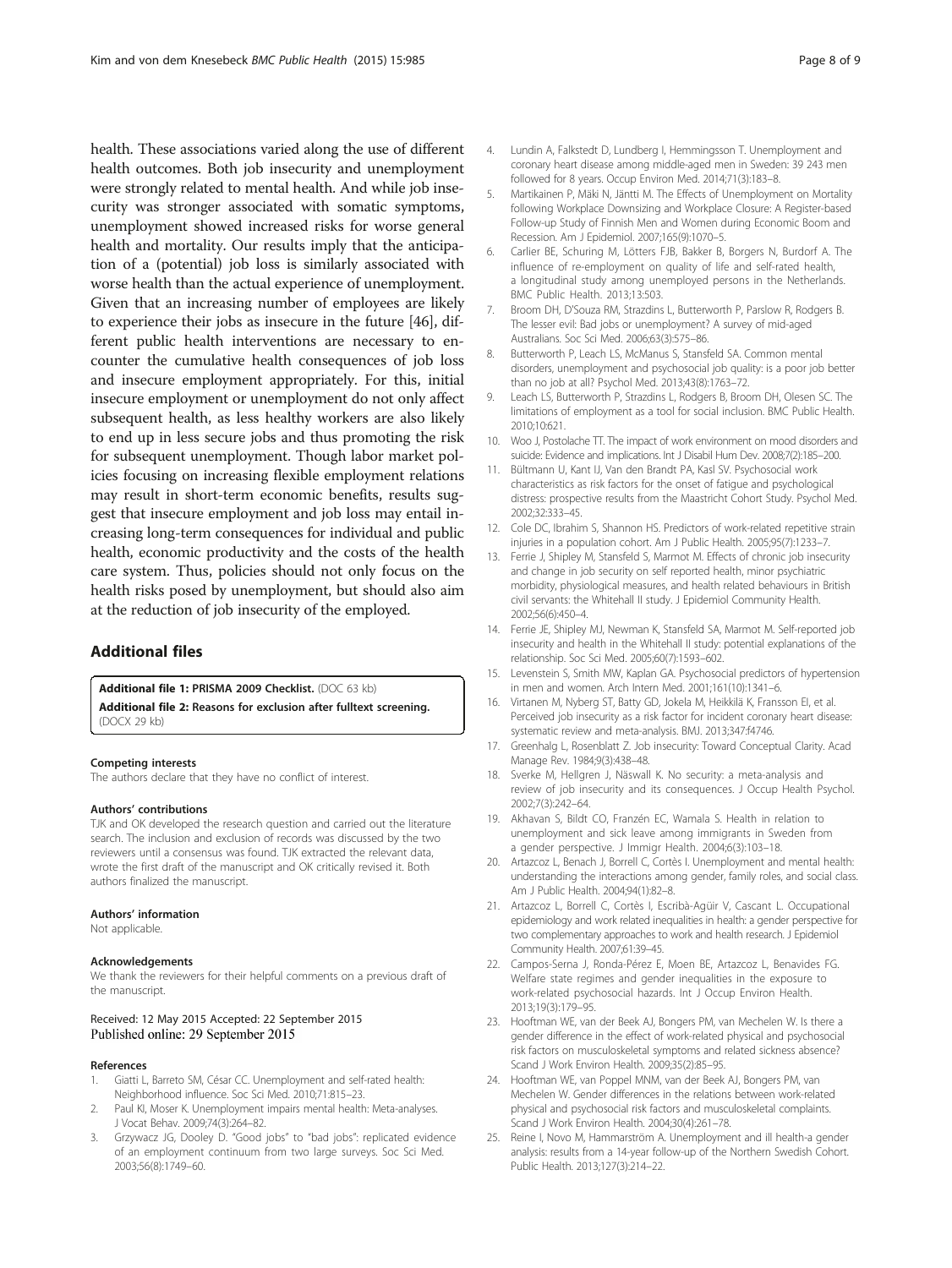<span id="page-7-0"></span>health. These associations varied along the use of different health outcomes. Both job insecurity and unemployment were strongly related to mental health. And while job insecurity was stronger associated with somatic symptoms, unemployment showed increased risks for worse general health and mortality. Our results imply that the anticipation of a (potential) job loss is similarly associated with worse health than the actual experience of unemployment. Given that an increasing number of employees are likely to experience their jobs as insecure in the future [[46](#page-8-0)], different public health interventions are necessary to encounter the cumulative health consequences of job loss and insecure employment appropriately. For this, initial insecure employment or unemployment do not only affect subsequent health, as less healthy workers are also likely to end up in less secure jobs and thus promoting the risk for subsequent unemployment. Though labor market policies focusing on increasing flexible employment relations may result in short-term economic benefits, results suggest that insecure employment and job loss may entail increasing long-term consequences for individual and public health, economic productivity and the costs of the health care system. Thus, policies should not only focus on the health risks posed by unemployment, but should also aim at the reduction of job insecurity of the employed.

# Additional files

#### [Additional file 1:](http://www.biomedcentral.com/content/supplementary/s12889-015-2313-1-s1.doc) PRISMA 2009 Checklist. (DOC 63 kb)

[Additional file 2:](http://www.biomedcentral.com/content/supplementary/s12889-015-2313-1-s2.docx) Reasons for exclusion after fulltext screening. (DOCX 29 kb)

#### Competing interests

The authors declare that they have no conflict of interest.

#### Authors' contributions

TJK and OK developed the research question and carried out the literature search. The inclusion and exclusion of records was discussed by the two reviewers until a consensus was found. TJK extracted the relevant data, wrote the first draft of the manuscript and OK critically revised it. Both authors finalized the manuscript.

#### Authors' information

Not applicable.

#### Acknowledgements

We thank the reviewers for their helpful comments on a previous draft of the manuscript.

## Received: 12 May 2015 Accepted: 22 September 2015 Published online: 29 September 2015

#### References

- Giatti L, Barreto SM, César CC. Unemployment and self-rated health: Neighborhood influence. Soc Sci Med. 2010;71:815–23.
- 2. Paul KI, Moser K. Unemployment impairs mental health: Meta-analyses. J Vocat Behav. 2009;74(3):264–82.
- 3. Grzywacz JG, Dooley D. "Good jobs" to "bad jobs": replicated evidence of an employment continuum from two large surveys. Soc Sci Med. 2003;56(8):1749–60.
- 4. Lundin A, Falkstedt D, Lundberg I, Hemmingsson T. Unemployment and coronary heart disease among middle-aged men in Sweden: 39 243 men followed for 8 years. Occup Environ Med. 2014;71(3):183–8.
- 5. Martikainen P, Mäki N, Jäntti M. The Effects of Unemployment on Mortality following Workplace Downsizing and Workplace Closure: A Register-based Follow-up Study of Finnish Men and Women during Economic Boom and Recession. Am J Epidemiol. 2007;165(9):1070–5.
- 6. Carlier BE, Schuring M, Lötters FJB, Bakker B, Borgers N, Burdorf A. The influence of re-employment on quality of life and self-rated health, a longitudinal study among unemployed persons in the Netherlands. BMC Public Health. 2013;13:503.
- 7. Broom DH, D'Souza RM, Strazdins L, Butterworth P, Parslow R, Rodgers B. The lesser evil: Bad jobs or unemployment? A survey of mid-aged Australians. Soc Sci Med. 2006;63(3):575–86.
- 8. Butterworth P, Leach LS, McManus S, Stansfeld SA. Common mental disorders, unemployment and psychosocial job quality: is a poor job better than no job at all? Psychol Med. 2013;43(8):1763–72.
- 9. Leach LS, Butterworth P, Strazdins L, Rodgers B, Broom DH, Olesen SC. The limitations of employment as a tool for social inclusion. BMC Public Health. 2010;10:621.
- 10. Woo J, Postolache TT. The impact of work environment on mood disorders and suicide: Evidence and implications. Int J Disabil Hum Dev. 2008;7(2):185–200.
- 11. Bültmann U, Kant IJ, Van den Brandt PA, Kasl SV. Psychosocial work characteristics as risk factors for the onset of fatigue and psychological distress: prospective results from the Maastricht Cohort Study. Psychol Med. 2002;32:333–45.
- 12. Cole DC, Ibrahim S, Shannon HS. Predictors of work-related repetitive strain injuries in a population cohort. Am J Public Health. 2005;95(7):1233–7.
- 13. Ferrie J, Shipley M, Stansfeld S, Marmot M. Effects of chronic job insecurity and change in job security on self reported health, minor psychiatric morbidity, physiological measures, and health related behaviours in British civil servants: the Whitehall II study. J Epidemiol Community Health. 2002;56(6):450–4.
- 14. Ferrie JE, Shipley MJ, Newman K, Stansfeld SA, Marmot M. Self-reported job insecurity and health in the Whitehall II study: potential explanations of the relationship. Soc Sci Med. 2005;60(7):1593–602.
- 15. Levenstein S, Smith MW, Kaplan GA. Psychosocial predictors of hypertension in men and women. Arch Intern Med. 2001;161(10):1341–6.
- 16. Virtanen M, Nyberg ST, Batty GD, Jokela M, Heikkilä K, Fransson EI, et al. Perceived job insecurity as a risk factor for incident coronary heart disease: systematic review and meta-analysis. BMJ. 2013;347:f4746.
- 17. Greenhalg L, Rosenblatt Z. Job insecurity: Toward Conceptual Clarity. Acad Manage Rev. 1984;9(3):438–48.
- 18. Sverke M, Hellgren J, Näswall K. No security: a meta-analysis and review of job insecurity and its consequences. J Occup Health Psychol. 2002;7(3):242–64.
- 19. Akhavan S, Bildt CO, Franzén EC, Wamala S. Health in relation to unemployment and sick leave among immigrants in Sweden from a gender perspective. J Immigr Health. 2004;6(3):103–18.
- 20. Artazcoz L, Benach J, Borrell C, Cortès I. Unemployment and mental health: understanding the interactions among gender, family roles, and social class. Am J Public Health. 2004;94(1):82–8.
- 21. Artazcoz L, Borrell C, Cortès I, Escribà-Agüir V, Cascant L. Occupational epidemiology and work related inequalities in health: a gender perspective for two complementary approaches to work and health research. J Epidemiol Community Health. 2007;61:39–45.
- 22. Campos-Serna J, Ronda-Pérez E, Moen BE, Artazcoz L, Benavides FG. Welfare state regimes and gender inequalities in the exposure to work-related psychosocial hazards. Int J Occup Environ Health. 2013;19(3):179–95.
- 23. Hooftman WE, van der Beek AJ, Bongers PM, van Mechelen W. Is there a gender difference in the effect of work-related physical and psychosocial risk factors on musculoskeletal symptoms and related sickness absence? Scand J Work Environ Health. 2009;35(2):85–95.
- 24. Hooftman WE, van Poppel MNM, van der Beek AJ, Bongers PM, van Mechelen W. Gender differences in the relations between work-related physical and psychosocial risk factors and musculoskeletal complaints. Scand J Work Environ Health. 2004;30(4):261–78.
- 25. Reine I, Novo M, Hammarström A. Unemployment and ill health-a gender analysis: results from a 14-year follow-up of the Northern Swedish Cohort. Public Health. 2013;127(3):214–22.